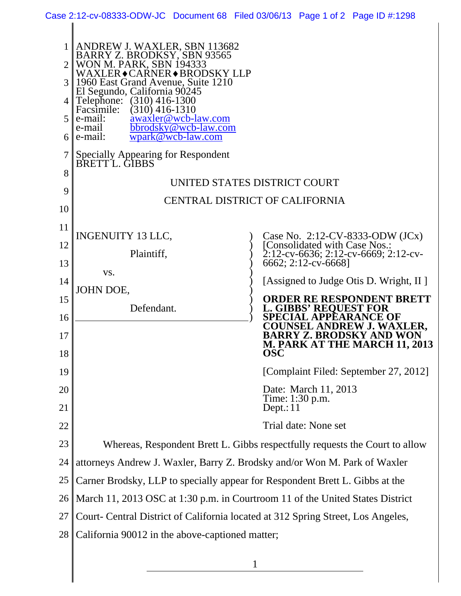| Case 2:12-cv-08333-ODW-JC Document 68 Filed 03/06/13 Page 1 of 2 Page ID #:1298 |  |  |
|---------------------------------------------------------------------------------|--|--|
|                                                                                 |  |  |

|          | ANDREW J. WAXLER, SBN 113682<br>BARRY Z. BRODKSY, SBN 93565<br><b>WON M. PARK, SBN 194333</b><br>WAXLER◆CARNER◆BRODSKY LLP<br>1960 East Grand Avenue, Suite 1210<br>El Segundo, California 90245<br>Telephone: (310) 416-1300<br>Facsimile:<br>$(310)$ 416-1310<br>awaxler@wcb-law.com<br>$\mathbf{e}$ -mail:<br>e-mail<br>bbrodsky@wcb-law.com<br>$6$   e-mail:<br>wpark@wcb-law.com |                                                                                                                               |  |  |  |
|----------|---------------------------------------------------------------------------------------------------------------------------------------------------------------------------------------------------------------------------------------------------------------------------------------------------------------------------------------------------------------------------------------|-------------------------------------------------------------------------------------------------------------------------------|--|--|--|
| 8        | Specially Appearing for Respondent<br>BRETTL. GIBBS                                                                                                                                                                                                                                                                                                                                   |                                                                                                                               |  |  |  |
|          | UNITED STATES DISTRICT COURT                                                                                                                                                                                                                                                                                                                                                          |                                                                                                                               |  |  |  |
| 9        | CENTRAL DISTRICT OF CALIFORNIA                                                                                                                                                                                                                                                                                                                                                        |                                                                                                                               |  |  |  |
| 10       |                                                                                                                                                                                                                                                                                                                                                                                       |                                                                                                                               |  |  |  |
| 11       | <b>INGENUITY 13 LLC,</b>                                                                                                                                                                                                                                                                                                                                                              | Case No. 2:12-CV-8333-ODW $(JCx)$                                                                                             |  |  |  |
| 12       | Plaintiff,                                                                                                                                                                                                                                                                                                                                                                            | [Consolidated with Case Nos.:<br>$\text{2:12-cv-6636}; \text{2:12-cv-6669}; \text{2:12-cv-}$                                  |  |  |  |
| 13       | VS.                                                                                                                                                                                                                                                                                                                                                                                   | 6662; 2:12-cv-6668]                                                                                                           |  |  |  |
| 14       | JOHN DOE,                                                                                                                                                                                                                                                                                                                                                                             | [Assigned to Judge Otis D. Wright, II]                                                                                        |  |  |  |
| 15       | Defendant.                                                                                                                                                                                                                                                                                                                                                                            | <b>ORDER RE RESPONDENT BRETT</b><br><b>L. GIBBS' REQUEST FOR</b><br><b>SPECIAL APPEARANCE OF</b><br>COUNSEL ANDREW J. WAXLER. |  |  |  |
| 16       |                                                                                                                                                                                                                                                                                                                                                                                       |                                                                                                                               |  |  |  |
| 17<br>18 |                                                                                                                                                                                                                                                                                                                                                                                       | BARRY Z. BRODSKY AND WON<br><b>M. PARK AT THE MARCH 11, 2013</b><br><b>OSC</b>                                                |  |  |  |
| 19       |                                                                                                                                                                                                                                                                                                                                                                                       | [Complaint Filed: September 27, 2012]                                                                                         |  |  |  |
| 20       |                                                                                                                                                                                                                                                                                                                                                                                       | Date: March 11, 2013                                                                                                          |  |  |  |
| 21       |                                                                                                                                                                                                                                                                                                                                                                                       | Time: 1:30 p.m.<br>Depth:11                                                                                                   |  |  |  |
| 22       |                                                                                                                                                                                                                                                                                                                                                                                       | Trial date: None set                                                                                                          |  |  |  |
| 23       | Whereas, Respondent Brett L. Gibbs respectfully requests the Court to allow                                                                                                                                                                                                                                                                                                           |                                                                                                                               |  |  |  |
| 24       | attorneys Andrew J. Waxler, Barry Z. Brodsky and/or Won M. Park of Waxler                                                                                                                                                                                                                                                                                                             |                                                                                                                               |  |  |  |
| 25       | Carner Brodsky, LLP to specially appear for Respondent Brett L. Gibbs at the                                                                                                                                                                                                                                                                                                          |                                                                                                                               |  |  |  |
| 26       | March 11, 2013 OSC at 1:30 p.m. in Courtroom 11 of the United States District                                                                                                                                                                                                                                                                                                         |                                                                                                                               |  |  |  |
| 27       | Court- Central District of California located at 312 Spring Street, Los Angeles,                                                                                                                                                                                                                                                                                                      |                                                                                                                               |  |  |  |
| 28       | California 90012 in the above-captioned matter;                                                                                                                                                                                                                                                                                                                                       |                                                                                                                               |  |  |  |